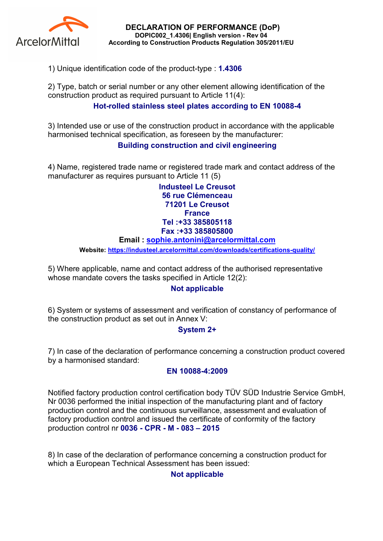

DECLARATION OF PERFORMANCE (DoP) DOPIC002\_1.4306| English version - Rev 04 According to Construction Products Regulation 305/2011/EU

1) Unique identification code of the product-type : 1.4306

2) Type, batch or serial number or any other element allowing identification of the construction product as required pursuant to Article 11(4):

# Hot-rolled stainless steel plates according to EN 10088-4

3) Intended use or use of the construction product in accordance with the applicable harmonised technical specification, as foreseen by the manufacturer:

## Building construction and civil engineering

4) Name, registered trade name or registered trade mark and contact address of the manufacturer as requires pursuant to Article 11 (5)

> Industeel Le Creusot 56 rue Clémenceau 71201 Le Creusot **France** Tel :+33 385805118 Fax :+33 385805800

#### Email : sophie.antonini@arcelormittal.com

Website: https://industeel.arcelormittal.com/downloads/certifications-quality/

5) Where applicable, name and contact address of the authorised representative whose mandate covers the tasks specified in Article 12(2):

### Not applicable

6) System or systems of assessment and verification of constancy of performance of the construction product as set out in Annex V:

### System 2+

7) In case of the declaration of performance concerning a construction product covered by a harmonised standard:

### EN 10088-4:2009

Notified factory production control certification body TÜV SÜD Industrie Service GmbH, Nr 0036 performed the initial inspection of the manufacturing plant and of factory production control and the continuous surveillance, assessment and evaluation of factory production control and issued the certificate of conformity of the factory production control nr 0036 - CPR - M - 083 – 2015

8) In case of the declaration of performance concerning a construction product for which a European Technical Assessment has been issued:

Not applicable